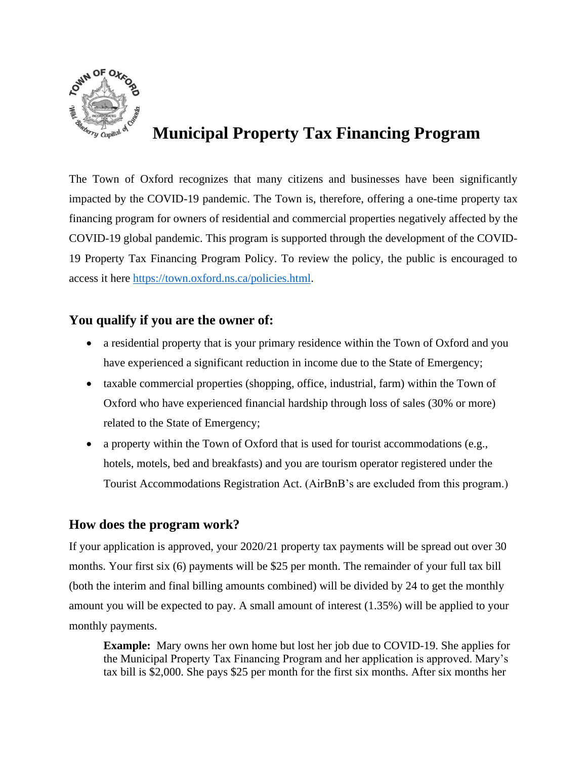

## **Municipal Property Tax Financing Program**

The Town of Oxford recognizes that many citizens and businesses have been significantly impacted by the COVID-19 pandemic. The Town is, therefore, offering a one-time property tax financing program for owners of residential and commercial properties negatively affected by the COVID-19 global pandemic. This program is supported through the development of the COVID-19 Property Tax Financing Program Policy. To review the policy, the public is encouraged to access it here <https://town.oxford.ns.ca/policies.html>.

## **You qualify if you are the owner of:**

- a residential property that is your primary residence within the Town of Oxford and you have experienced a significant reduction in income due to the State of Emergency;
- taxable commercial properties (shopping, office, industrial, farm) within the Town of Oxford who have experienced financial hardship through loss of sales (30% or more) related to the State of Emergency;
- a property within the Town of Oxford that is used for tourist accommodations (e.g., hotels, motels, bed and breakfasts) and you are tourism operator registered under the Tourist Accommodations Registration Act. (AirBnB's are excluded from this program.)

## **How does the program work?**

If your application is approved, your 2020/21 property tax payments will be spread out over 30 months. Your first six (6) payments will be \$25 per month. The remainder of your full tax bill (both the interim and final billing amounts combined) will be divided by 24 to get the monthly amount you will be expected to pay. A small amount of interest (1.35%) will be applied to your monthly payments.

**Example:** Mary owns her own home but lost her job due to COVID-19. She applies for the Municipal Property Tax Financing Program and her application is approved. Mary's tax bill is \$2,000. She pays \$25 per month for the first six months. After six months her